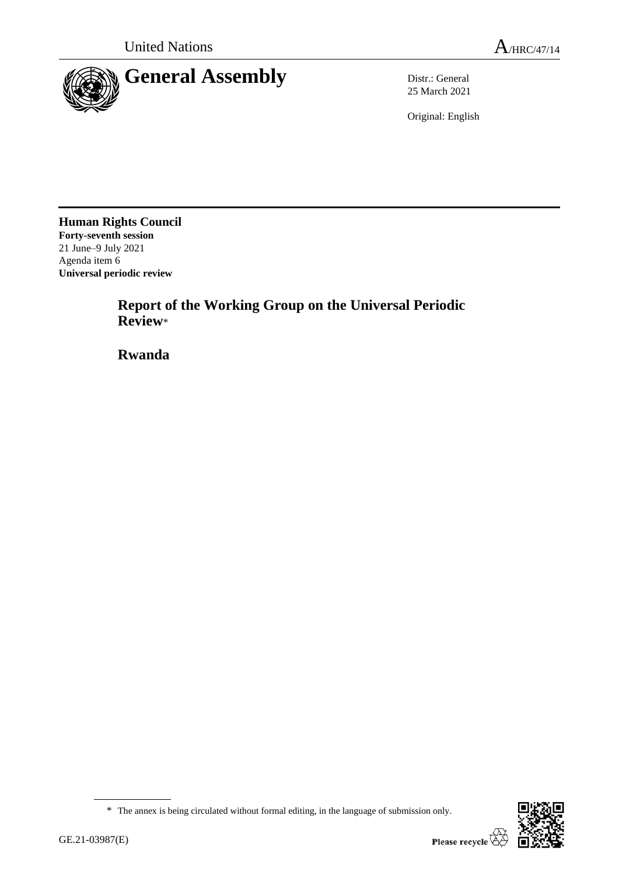

25 March 2021

Original: English

**Human Rights Council Forty-seventh session** 21 June–9 July 2021 Agenda item 6 **Universal periodic review**

> **Report of the Working Group on the Universal Periodic Review**\*

**Rwanda**



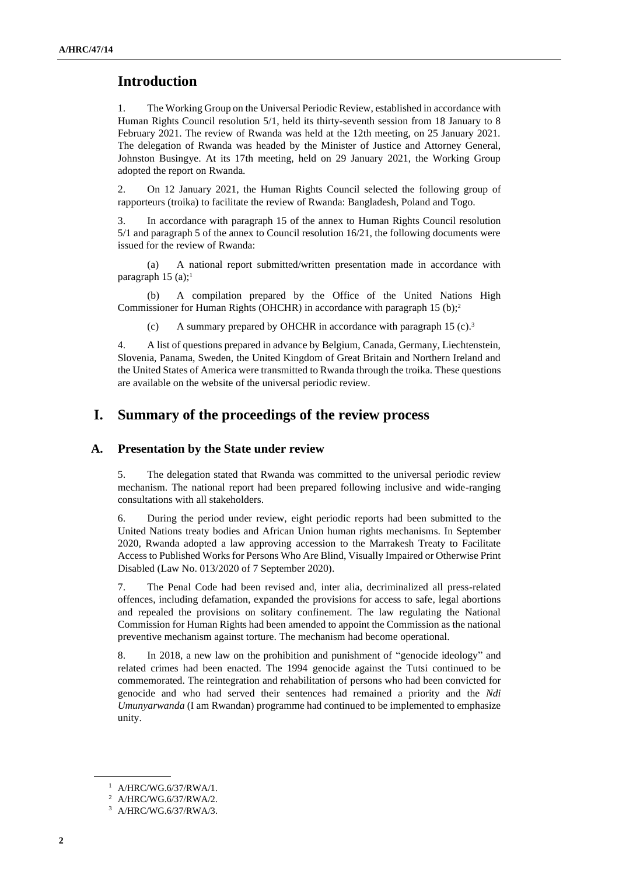## **Introduction**

1. The Working Group on the Universal Periodic Review, established in accordance with Human Rights Council resolution 5/1, held its thirty-seventh session from 18 January to 8 February 2021. The review of Rwanda was held at the 12th meeting, on 25 January 2021. The delegation of Rwanda was headed by the Minister of Justice and Attorney General, Johnston Busingye. At its 17th meeting, held on 29 January 2021, the Working Group adopted the report on Rwanda.

2. On 12 January 2021, the Human Rights Council selected the following group of rapporteurs (troika) to facilitate the review of Rwanda: Bangladesh, Poland and Togo.

3. In accordance with paragraph 15 of the annex to Human Rights Council resolution 5/1 and paragraph 5 of the annex to Council resolution 16/21, the following documents were issued for the review of Rwanda:

A national report submitted/written presentation made in accordance with paragraph 15 (a);<sup>1</sup>

(b) A compilation prepared by the Office of the United Nations High Commissioner for Human Rights (OHCHR) in accordance with paragraph 15 (b);<sup>2</sup>

(c) A summary prepared by OHCHR in accordance with paragraph 15 (c).<sup>3</sup>

4. A list of questions prepared in advance by Belgium, Canada, Germany, Liechtenstein, Slovenia, Panama, Sweden, the United Kingdom of Great Britain and Northern Ireland and the United States of America were transmitted to Rwanda through the troika. These questions are available on the website of the universal periodic review.

## **I. Summary of the proceedings of the review process**

### **A. Presentation by the State under review**

5. The delegation stated that Rwanda was committed to the universal periodic review mechanism. The national report had been prepared following inclusive and wide-ranging consultations with all stakeholders.

6. During the period under review, eight periodic reports had been submitted to the United Nations treaty bodies and African Union human rights mechanisms. In September 2020, Rwanda adopted a law approving accession to the Marrakesh Treaty to Facilitate Access to Published Works for Persons Who Are Blind, Visually Impaired or Otherwise Print Disabled (Law No. 013/2020 of 7 September 2020).

7. The Penal Code had been revised and, inter alia, decriminalized all press-related offences, including defamation, expanded the provisions for access to safe, legal abortions and repealed the provisions on solitary confinement. The law regulating the National Commission for Human Rights had been amended to appoint the Commission as the national preventive mechanism against torture. The mechanism had become operational.

8. In 2018, a new law on the prohibition and punishment of "genocide ideology" and related crimes had been enacted. The 1994 genocide against the Tutsi continued to be commemorated. The reintegration and rehabilitation of persons who had been convicted for genocide and who had served their sentences had remained a priority and the *Ndi Umunyarwanda* (I am Rwandan) programme had continued to be implemented to emphasize unity.

<sup>1</sup> A/HRC/WG.6/37/RWA/1.

<sup>2</sup> A/HRC/WG.6/37/RWA/2.

<sup>3</sup> A/HRC/WG.6/37/RWA/3.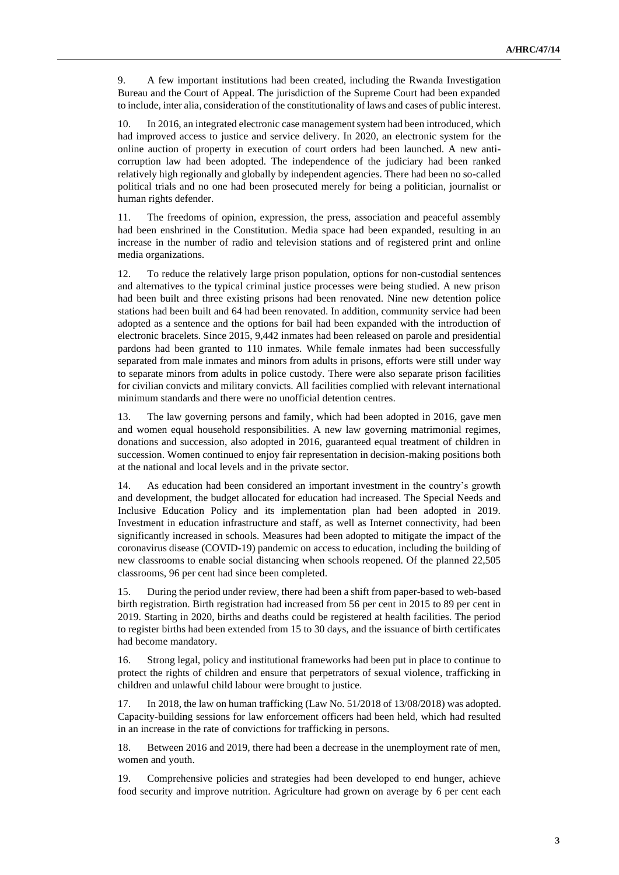9. A few important institutions had been created, including the Rwanda Investigation Bureau and the Court of Appeal. The jurisdiction of the Supreme Court had been expanded to include, inter alia, consideration of the constitutionality of laws and cases of public interest.

10. In 2016, an integrated electronic case management system had been introduced, which had improved access to justice and service delivery. In 2020, an electronic system for the online auction of property in execution of court orders had been launched. A new anticorruption law had been adopted. The independence of the judiciary had been ranked relatively high regionally and globally by independent agencies. There had been no so-called political trials and no one had been prosecuted merely for being a politician, journalist or human rights defender.

11. The freedoms of opinion, expression, the press, association and peaceful assembly had been enshrined in the Constitution. Media space had been expanded, resulting in an increase in the number of radio and television stations and of registered print and online media organizations.

12. To reduce the relatively large prison population, options for non-custodial sentences and alternatives to the typical criminal justice processes were being studied. A new prison had been built and three existing prisons had been renovated. Nine new detention police stations had been built and 64 had been renovated. In addition, community service had been adopted as a sentence and the options for bail had been expanded with the introduction of electronic bracelets. Since 2015, 9,442 inmates had been released on parole and presidential pardons had been granted to 110 inmates. While female inmates had been successfully separated from male inmates and minors from adults in prisons, efforts were still under way to separate minors from adults in police custody. There were also separate prison facilities for civilian convicts and military convicts. All facilities complied with relevant international minimum standards and there were no unofficial detention centres.

13. The law governing persons and family, which had been adopted in 2016, gave men and women equal household responsibilities. A new law governing matrimonial regimes, donations and succession, also adopted in 2016, guaranteed equal treatment of children in succession. Women continued to enjoy fair representation in decision-making positions both at the national and local levels and in the private sector.

14. As education had been considered an important investment in the country's growth and development, the budget allocated for education had increased. The Special Needs and Inclusive Education Policy and its implementation plan had been adopted in 2019. Investment in education infrastructure and staff, as well as Internet connectivity, had been significantly increased in schools. Measures had been adopted to mitigate the impact of the coronavirus disease (COVID-19) pandemic on access to education, including the building of new classrooms to enable social distancing when schools reopened. Of the planned 22,505 classrooms, 96 per cent had since been completed.

15. During the period under review, there had been a shift from paper-based to web-based birth registration. Birth registration had increased from 56 per cent in 2015 to 89 per cent in 2019. Starting in 2020, births and deaths could be registered at health facilities. The period to register births had been extended from 15 to 30 days, and the issuance of birth certificates had become mandatory.

16. Strong legal, policy and institutional frameworks had been put in place to continue to protect the rights of children and ensure that perpetrators of sexual violence, trafficking in children and unlawful child labour were brought to justice.

17. In 2018, the law on human trafficking (Law No. 51/2018 of 13/08/2018) was adopted. Capacity-building sessions for law enforcement officers had been held, which had resulted in an increase in the rate of convictions for trafficking in persons.

18. Between 2016 and 2019, there had been a decrease in the unemployment rate of men, women and youth.

19. Comprehensive policies and strategies had been developed to end hunger, achieve food security and improve nutrition. Agriculture had grown on average by 6 per cent each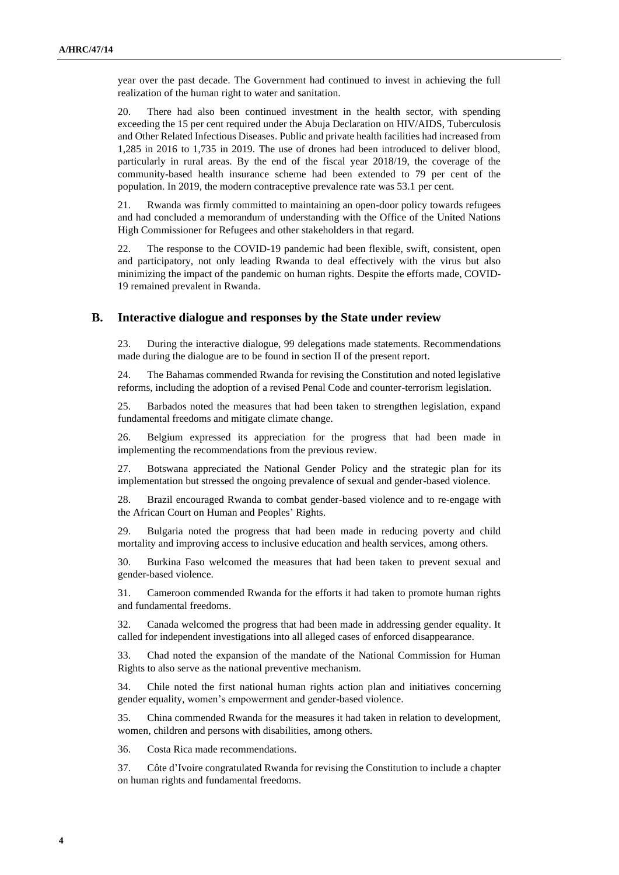year over the past decade. The Government had continued to invest in achieving the full realization of the human right to water and sanitation.

20. There had also been continued investment in the health sector, with spending exceeding the 15 per cent required under the Abuja Declaration on HIV/AIDS, Tuberculosis and Other Related Infectious Diseases. Public and private health facilities had increased from 1,285 in 2016 to 1,735 in 2019. The use of drones had been introduced to deliver blood, particularly in rural areas. By the end of the fiscal year 2018/19, the coverage of the community-based health insurance scheme had been extended to 79 per cent of the population. In 2019, the modern contraceptive prevalence rate was 53.1 per cent.

21. Rwanda was firmly committed to maintaining an open-door policy towards refugees and had concluded a memorandum of understanding with the Office of the United Nations High Commissioner for Refugees and other stakeholders in that regard.

22. The response to the COVID-19 pandemic had been flexible, swift, consistent, open and participatory, not only leading Rwanda to deal effectively with the virus but also minimizing the impact of the pandemic on human rights. Despite the efforts made, COVID-19 remained prevalent in Rwanda.

#### **B. Interactive dialogue and responses by the State under review**

23. During the interactive dialogue, 99 delegations made statements. Recommendations made during the dialogue are to be found in section II of the present report.

24. The Bahamas commended Rwanda for revising the Constitution and noted legislative reforms, including the adoption of a revised Penal Code and counter-terrorism legislation.

25. Barbados noted the measures that had been taken to strengthen legislation, expand fundamental freedoms and mitigate climate change.

26. Belgium expressed its appreciation for the progress that had been made in implementing the recommendations from the previous review.

27. Botswana appreciated the National Gender Policy and the strategic plan for its implementation but stressed the ongoing prevalence of sexual and gender-based violence.

28. Brazil encouraged Rwanda to combat gender-based violence and to re-engage with the African Court on Human and Peoples' Rights.

29. Bulgaria noted the progress that had been made in reducing poverty and child mortality and improving access to inclusive education and health services, among others.

30. Burkina Faso welcomed the measures that had been taken to prevent sexual and gender-based violence.

31. Cameroon commended Rwanda for the efforts it had taken to promote human rights and fundamental freedoms.

32. Canada welcomed the progress that had been made in addressing gender equality. It called for independent investigations into all alleged cases of enforced disappearance.

33. Chad noted the expansion of the mandate of the National Commission for Human Rights to also serve as the national preventive mechanism.

34. Chile noted the first national human rights action plan and initiatives concerning gender equality, women's empowerment and gender-based violence.

35. China commended Rwanda for the measures it had taken in relation to development, women, children and persons with disabilities, among others.

36. Costa Rica made recommendations.

37. Côte d'Ivoire congratulated Rwanda for revising the Constitution to include a chapter on human rights and fundamental freedoms.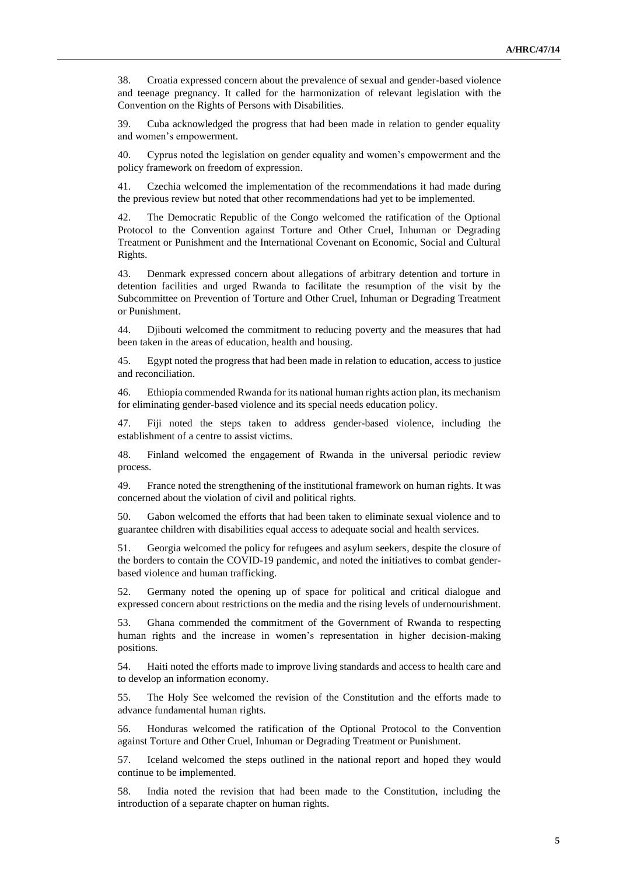38. Croatia expressed concern about the prevalence of sexual and gender-based violence and teenage pregnancy. It called for the harmonization of relevant legislation with the Convention on the Rights of Persons with Disabilities.

39. Cuba acknowledged the progress that had been made in relation to gender equality and women's empowerment.

40. Cyprus noted the legislation on gender equality and women's empowerment and the policy framework on freedom of expression.

41. Czechia welcomed the implementation of the recommendations it had made during the previous review but noted that other recommendations had yet to be implemented.

42. The Democratic Republic of the Congo welcomed the ratification of the Optional Protocol to the Convention against Torture and Other Cruel, Inhuman or Degrading Treatment or Punishment and the International Covenant on Economic, Social and Cultural Rights.

43. Denmark expressed concern about allegations of arbitrary detention and torture in detention facilities and urged Rwanda to facilitate the resumption of the visit by the Subcommittee on Prevention of Torture and Other Cruel, Inhuman or Degrading Treatment or Punishment.

44. Djibouti welcomed the commitment to reducing poverty and the measures that had been taken in the areas of education, health and housing.

45. Egypt noted the progress that had been made in relation to education, access to justice and reconciliation.

46. Ethiopia commended Rwanda for its national human rights action plan, its mechanism for eliminating gender-based violence and its special needs education policy.

47. Fiji noted the steps taken to address gender-based violence, including the establishment of a centre to assist victims.

48. Finland welcomed the engagement of Rwanda in the universal periodic review process.

49. France noted the strengthening of the institutional framework on human rights. It was concerned about the violation of civil and political rights.

50. Gabon welcomed the efforts that had been taken to eliminate sexual violence and to guarantee children with disabilities equal access to adequate social and health services.

51. Georgia welcomed the policy for refugees and asylum seekers, despite the closure of the borders to contain the COVID-19 pandemic, and noted the initiatives to combat genderbased violence and human trafficking.

52. Germany noted the opening up of space for political and critical dialogue and expressed concern about restrictions on the media and the rising levels of undernourishment.

53. Ghana commended the commitment of the Government of Rwanda to respecting human rights and the increase in women's representation in higher decision-making positions.

54. Haiti noted the efforts made to improve living standards and access to health care and to develop an information economy.

55. The Holy See welcomed the revision of the Constitution and the efforts made to advance fundamental human rights.

56. Honduras welcomed the ratification of the Optional Protocol to the Convention against Torture and Other Cruel, Inhuman or Degrading Treatment or Punishment.

57. Iceland welcomed the steps outlined in the national report and hoped they would continue to be implemented.

58. India noted the revision that had been made to the Constitution, including the introduction of a separate chapter on human rights.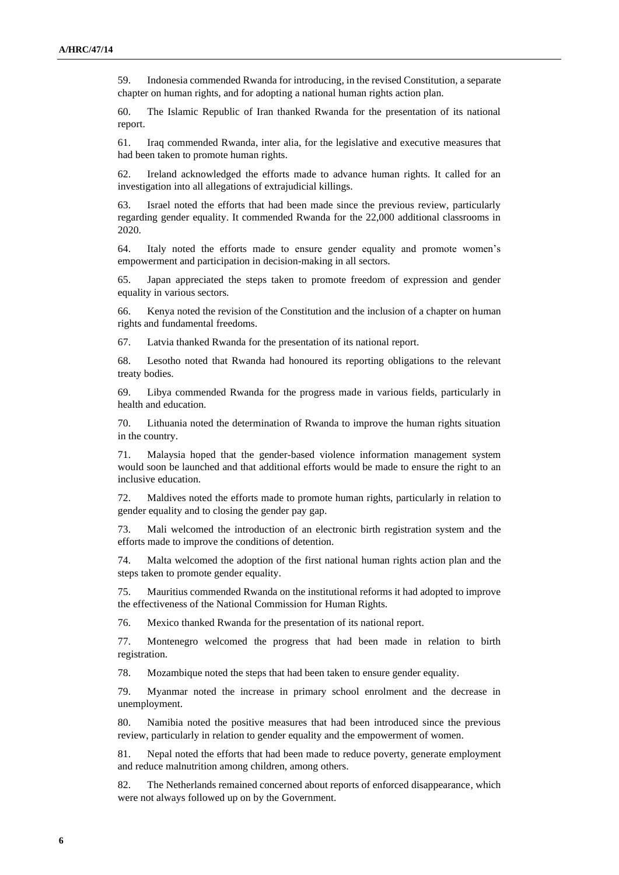59. Indonesia commended Rwanda for introducing, in the revised Constitution, a separate chapter on human rights, and for adopting a national human rights action plan.

60. The Islamic Republic of Iran thanked Rwanda for the presentation of its national report.

61. Iraq commended Rwanda, inter alia, for the legislative and executive measures that had been taken to promote human rights.

62. Ireland acknowledged the efforts made to advance human rights. It called for an investigation into all allegations of extrajudicial killings.

63. Israel noted the efforts that had been made since the previous review, particularly regarding gender equality. It commended Rwanda for the 22,000 additional classrooms in 2020.

64. Italy noted the efforts made to ensure gender equality and promote women's empowerment and participation in decision-making in all sectors.

65. Japan appreciated the steps taken to promote freedom of expression and gender equality in various sectors.

66. Kenya noted the revision of the Constitution and the inclusion of a chapter on human rights and fundamental freedoms.

67. Latvia thanked Rwanda for the presentation of its national report.

68. Lesotho noted that Rwanda had honoured its reporting obligations to the relevant treaty bodies.

69. Libya commended Rwanda for the progress made in various fields, particularly in health and education.

70. Lithuania noted the determination of Rwanda to improve the human rights situation in the country.

71. Malaysia hoped that the gender-based violence information management system would soon be launched and that additional efforts would be made to ensure the right to an inclusive education.

72. Maldives noted the efforts made to promote human rights, particularly in relation to gender equality and to closing the gender pay gap.

73. Mali welcomed the introduction of an electronic birth registration system and the efforts made to improve the conditions of detention.

74. Malta welcomed the adoption of the first national human rights action plan and the steps taken to promote gender equality.

75. Mauritius commended Rwanda on the institutional reforms it had adopted to improve the effectiveness of the National Commission for Human Rights.

76. Mexico thanked Rwanda for the presentation of its national report.

77. Montenegro welcomed the progress that had been made in relation to birth registration.

78. Mozambique noted the steps that had been taken to ensure gender equality.

79. Myanmar noted the increase in primary school enrolment and the decrease in unemployment.

80. Namibia noted the positive measures that had been introduced since the previous review, particularly in relation to gender equality and the empowerment of women.

81. Nepal noted the efforts that had been made to reduce poverty, generate employment and reduce malnutrition among children, among others.

82. The Netherlands remained concerned about reports of enforced disappearance, which were not always followed up on by the Government.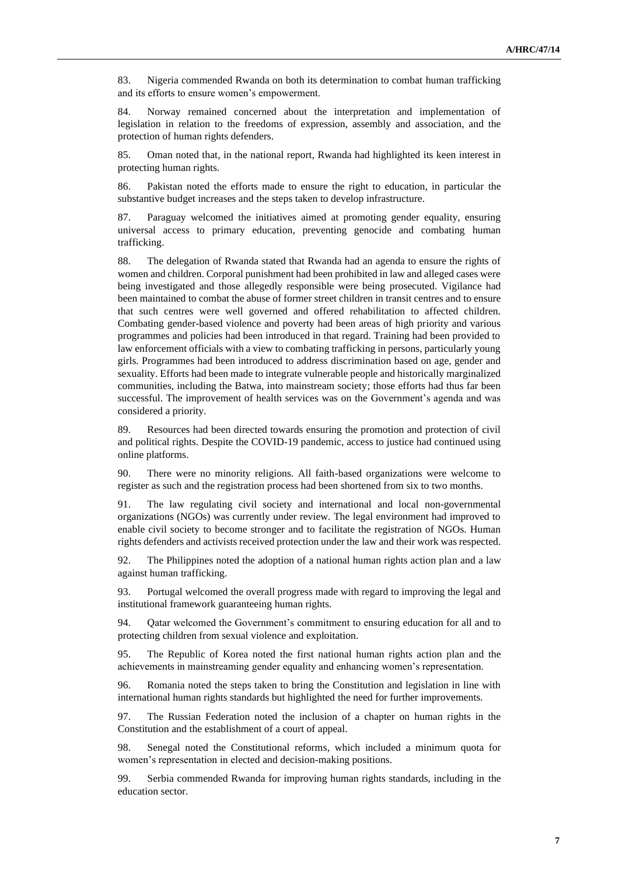83. Nigeria commended Rwanda on both its determination to combat human trafficking and its efforts to ensure women's empowerment.

84. Norway remained concerned about the interpretation and implementation of legislation in relation to the freedoms of expression, assembly and association, and the protection of human rights defenders.

85. Oman noted that, in the national report, Rwanda had highlighted its keen interest in protecting human rights.

86. Pakistan noted the efforts made to ensure the right to education, in particular the substantive budget increases and the steps taken to develop infrastructure.

87. Paraguay welcomed the initiatives aimed at promoting gender equality, ensuring universal access to primary education, preventing genocide and combating human trafficking.

88. The delegation of Rwanda stated that Rwanda had an agenda to ensure the rights of women and children. Corporal punishment had been prohibited in law and alleged cases were being investigated and those allegedly responsible were being prosecuted. Vigilance had been maintained to combat the abuse of former street children in transit centres and to ensure that such centres were well governed and offered rehabilitation to affected children. Combating gender-based violence and poverty had been areas of high priority and various programmes and policies had been introduced in that regard. Training had been provided to law enforcement officials with a view to combating trafficking in persons, particularly young girls. Programmes had been introduced to address discrimination based on age, gender and sexuality. Efforts had been made to integrate vulnerable people and historically marginalized communities, including the Batwa, into mainstream society; those efforts had thus far been successful. The improvement of health services was on the Government's agenda and was considered a priority.

89. Resources had been directed towards ensuring the promotion and protection of civil and political rights. Despite the COVID-19 pandemic, access to justice had continued using online platforms.

90. There were no minority religions. All faith-based organizations were welcome to register as such and the registration process had been shortened from six to two months.

The law regulating civil society and international and local non-governmental organizations (NGOs) was currently under review. The legal environment had improved to enable civil society to become stronger and to facilitate the registration of NGOs. Human rights defenders and activists received protection under the law and their work was respected.

92. The Philippines noted the adoption of a national human rights action plan and a law against human trafficking.

93. Portugal welcomed the overall progress made with regard to improving the legal and institutional framework guaranteeing human rights.

94. Qatar welcomed the Government's commitment to ensuring education for all and to protecting children from sexual violence and exploitation.

95. The Republic of Korea noted the first national human rights action plan and the achievements in mainstreaming gender equality and enhancing women's representation.

96. Romania noted the steps taken to bring the Constitution and legislation in line with international human rights standards but highlighted the need for further improvements.

97. The Russian Federation noted the inclusion of a chapter on human rights in the Constitution and the establishment of a court of appeal.

98. Senegal noted the Constitutional reforms, which included a minimum quota for women's representation in elected and decision-making positions.

99. Serbia commended Rwanda for improving human rights standards, including in the education sector.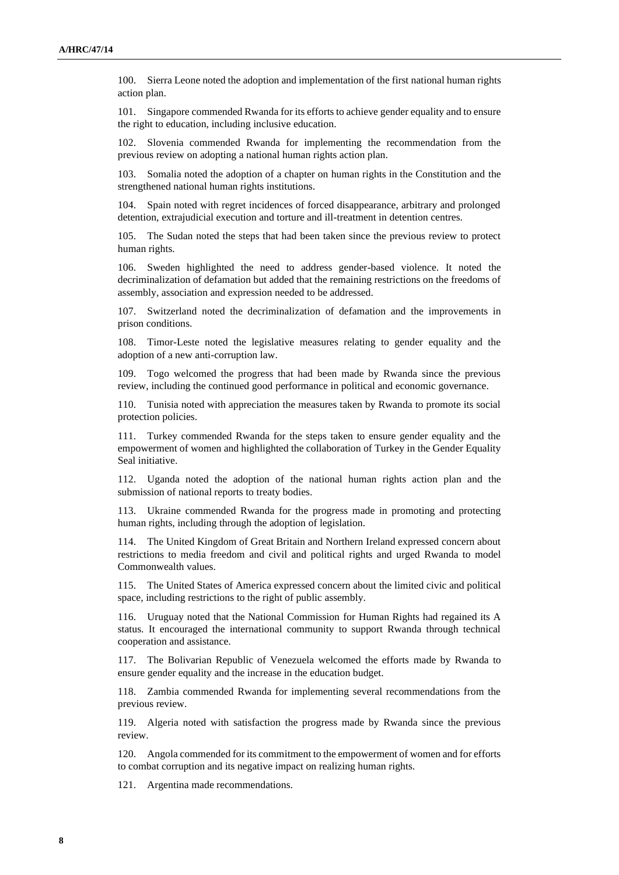100. Sierra Leone noted the adoption and implementation of the first national human rights action plan.

101. Singapore commended Rwanda for its efforts to achieve gender equality and to ensure the right to education, including inclusive education.

Slovenia commended Rwanda for implementing the recommendation from the previous review on adopting a national human rights action plan.

103. Somalia noted the adoption of a chapter on human rights in the Constitution and the strengthened national human rights institutions.

104. Spain noted with regret incidences of forced disappearance, arbitrary and prolonged detention, extrajudicial execution and torture and ill-treatment in detention centres.

105. The Sudan noted the steps that had been taken since the previous review to protect human rights.

106. Sweden highlighted the need to address gender-based violence. It noted the decriminalization of defamation but added that the remaining restrictions on the freedoms of assembly, association and expression needed to be addressed.

107. Switzerland noted the decriminalization of defamation and the improvements in prison conditions.

108. Timor-Leste noted the legislative measures relating to gender equality and the adoption of a new anti-corruption law.

109. Togo welcomed the progress that had been made by Rwanda since the previous review, including the continued good performance in political and economic governance.

110. Tunisia noted with appreciation the measures taken by Rwanda to promote its social protection policies.

111. Turkey commended Rwanda for the steps taken to ensure gender equality and the empowerment of women and highlighted the collaboration of Turkey in the Gender Equality Seal initiative.

112. Uganda noted the adoption of the national human rights action plan and the submission of national reports to treaty bodies.

113. Ukraine commended Rwanda for the progress made in promoting and protecting human rights, including through the adoption of legislation.

114. The United Kingdom of Great Britain and Northern Ireland expressed concern about restrictions to media freedom and civil and political rights and urged Rwanda to model Commonwealth values.

115. The United States of America expressed concern about the limited civic and political space, including restrictions to the right of public assembly.

116. Uruguay noted that the National Commission for Human Rights had regained its A status. It encouraged the international community to support Rwanda through technical cooperation and assistance.

117. The Bolivarian Republic of Venezuela welcomed the efforts made by Rwanda to ensure gender equality and the increase in the education budget.

118. Zambia commended Rwanda for implementing several recommendations from the previous review.

119. Algeria noted with satisfaction the progress made by Rwanda since the previous review.

120. Angola commended for its commitment to the empowerment of women and for efforts to combat corruption and its negative impact on realizing human rights.

121. Argentina made recommendations.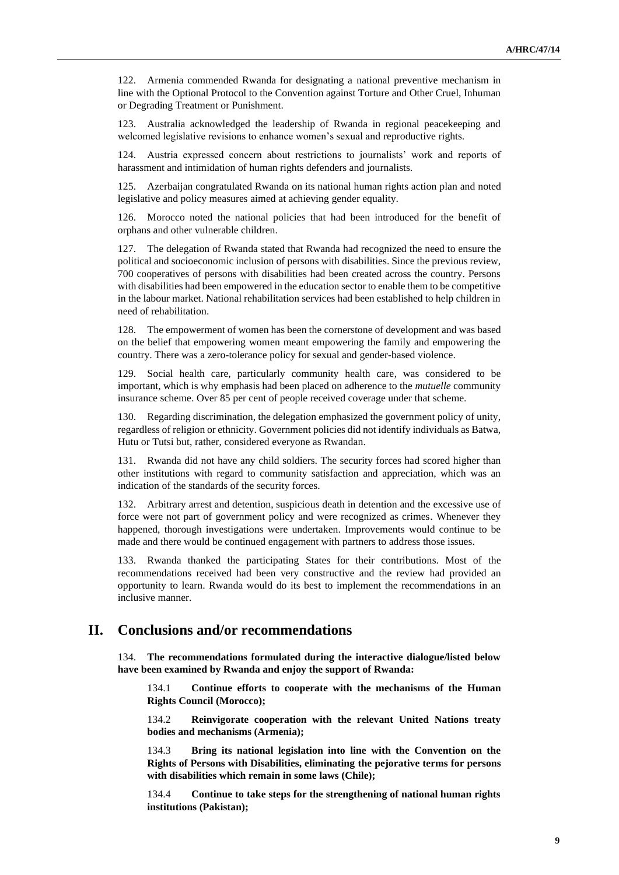122. Armenia commended Rwanda for designating a national preventive mechanism in line with the Optional Protocol to the Convention against Torture and Other Cruel, Inhuman or Degrading Treatment or Punishment.

123. Australia acknowledged the leadership of Rwanda in regional peacekeeping and welcomed legislative revisions to enhance women's sexual and reproductive rights.

124. Austria expressed concern about restrictions to journalists' work and reports of harassment and intimidation of human rights defenders and journalists.

125. Azerbaijan congratulated Rwanda on its national human rights action plan and noted legislative and policy measures aimed at achieving gender equality.

126. Morocco noted the national policies that had been introduced for the benefit of orphans and other vulnerable children.

127. The delegation of Rwanda stated that Rwanda had recognized the need to ensure the political and socioeconomic inclusion of persons with disabilities. Since the previous review, 700 cooperatives of persons with disabilities had been created across the country. Persons with disabilities had been empowered in the education sector to enable them to be competitive in the labour market. National rehabilitation services had been established to help children in need of rehabilitation.

128. The empowerment of women has been the cornerstone of development and was based on the belief that empowering women meant empowering the family and empowering the country. There was a zero-tolerance policy for sexual and gender-based violence.

129. Social health care, particularly community health care, was considered to be important, which is why emphasis had been placed on adherence to the *mutuelle* community insurance scheme. Over 85 per cent of people received coverage under that scheme.

130. Regarding discrimination, the delegation emphasized the government policy of unity, regardless of religion or ethnicity. Government policies did not identify individuals as Batwa, Hutu or Tutsi but, rather, considered everyone as Rwandan.

131. Rwanda did not have any child soldiers. The security forces had scored higher than other institutions with regard to community satisfaction and appreciation, which was an indication of the standards of the security forces.

132. Arbitrary arrest and detention, suspicious death in detention and the excessive use of force were not part of government policy and were recognized as crimes. Whenever they happened, thorough investigations were undertaken. Improvements would continue to be made and there would be continued engagement with partners to address those issues.

133. Rwanda thanked the participating States for their contributions. Most of the recommendations received had been very constructive and the review had provided an opportunity to learn. Rwanda would do its best to implement the recommendations in an inclusive manner.

### **II. Conclusions and/or recommendations**

134. **The recommendations formulated during the interactive dialogue/listed below have been examined by Rwanda and enjoy the support of Rwanda:**

134.1 **Continue efforts to cooperate with the mechanisms of the Human Rights Council (Morocco);**

134.2 **Reinvigorate cooperation with the relevant United Nations treaty bodies and mechanisms (Armenia);**

134.3 **Bring its national legislation into line with the Convention on the Rights of Persons with Disabilities, eliminating the pejorative terms for persons with disabilities which remain in some laws (Chile);**

134.4 **Continue to take steps for the strengthening of national human rights institutions (Pakistan);**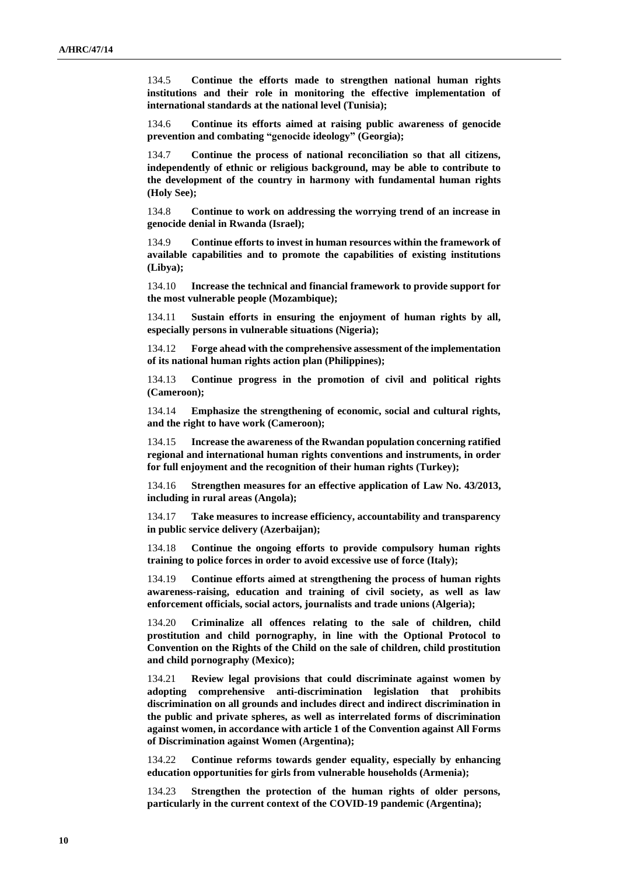134.5 **Continue the efforts made to strengthen national human rights institutions and their role in monitoring the effective implementation of international standards at the national level (Tunisia);**

134.6 **Continue its efforts aimed at raising public awareness of genocide prevention and combating "genocide ideology" (Georgia);**

134.7 **Continue the process of national reconciliation so that all citizens, independently of ethnic or religious background, may be able to contribute to the development of the country in harmony with fundamental human rights (Holy See);**

134.8 **Continue to work on addressing the worrying trend of an increase in genocide denial in Rwanda (Israel);**

134.9 **Continue efforts to invest in human resources within the framework of available capabilities and to promote the capabilities of existing institutions (Libya);**

134.10 **Increase the technical and financial framework to provide support for the most vulnerable people (Mozambique);**

134.11 **Sustain efforts in ensuring the enjoyment of human rights by all, especially persons in vulnerable situations (Nigeria);**

134.12 **Forge ahead with the comprehensive assessment of the implementation of its national human rights action plan (Philippines);**

134.13 **Continue progress in the promotion of civil and political rights (Cameroon);**

134.14 **Emphasize the strengthening of economic, social and cultural rights, and the right to have work (Cameroon);**

134.15 **Increase the awareness of the Rwandan population concerning ratified regional and international human rights conventions and instruments, in order for full enjoyment and the recognition of their human rights (Turkey);**

134.16 **Strengthen measures for an effective application of Law No. 43/2013, including in rural areas (Angola);**

134.17 **Take measures to increase efficiency, accountability and transparency in public service delivery (Azerbaijan);**

134.18 **Continue the ongoing efforts to provide compulsory human rights training to police forces in order to avoid excessive use of force (Italy);**

134.19 **Continue efforts aimed at strengthening the process of human rights awareness-raising, education and training of civil society, as well as law enforcement officials, social actors, journalists and trade unions (Algeria);**

134.20 **Criminalize all offences relating to the sale of children, child prostitution and child pornography, in line with the Optional Protocol to Convention on the Rights of the Child on the sale of children, child prostitution and child pornography (Mexico);**

134.21 **Review legal provisions that could discriminate against women by adopting comprehensive anti-discrimination legislation that prohibits discrimination on all grounds and includes direct and indirect discrimination in the public and private spheres, as well as interrelated forms of discrimination against women, in accordance with article 1 of the Convention against All Forms of Discrimination against Women (Argentina);**

134.22 **Continue reforms towards gender equality, especially by enhancing education opportunities for girls from vulnerable households (Armenia);**

134.23 **Strengthen the protection of the human rights of older persons, particularly in the current context of the COVID-19 pandemic (Argentina);**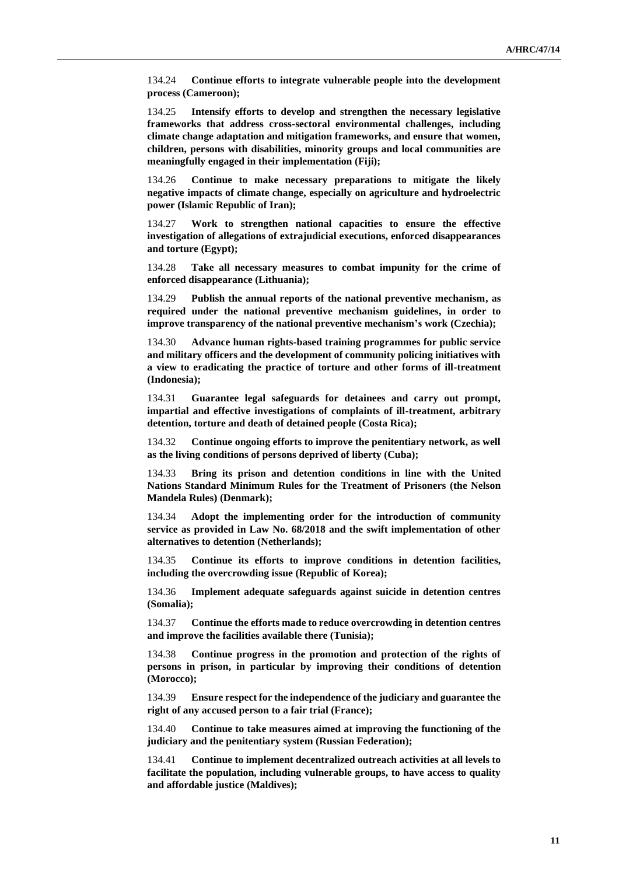134.24 **Continue efforts to integrate vulnerable people into the development process (Cameroon);**

134.25 **Intensify efforts to develop and strengthen the necessary legislative frameworks that address cross-sectoral environmental challenges, including climate change adaptation and mitigation frameworks, and ensure that women, children, persons with disabilities, minority groups and local communities are meaningfully engaged in their implementation (Fiji);**

134.26 **Continue to make necessary preparations to mitigate the likely negative impacts of climate change, especially on agriculture and hydroelectric power (Islamic Republic of Iran);**

134.27 **Work to strengthen national capacities to ensure the effective investigation of allegations of extrajudicial executions, enforced disappearances and torture (Egypt);**

134.28 **Take all necessary measures to combat impunity for the crime of enforced disappearance (Lithuania);**

134.29 **Publish the annual reports of the national preventive mechanism, as required under the national preventive mechanism guidelines, in order to improve transparency of the national preventive mechanism's work (Czechia);**

134.30 **Advance human rights-based training programmes for public service and military officers and the development of community policing initiatives with a view to eradicating the practice of torture and other forms of ill-treatment (Indonesia);**

134.31 **Guarantee legal safeguards for detainees and carry out prompt, impartial and effective investigations of complaints of ill-treatment, arbitrary detention, torture and death of detained people (Costa Rica);**

134.32 **Continue ongoing efforts to improve the penitentiary network, as well as the living conditions of persons deprived of liberty (Cuba);**

134.33 **Bring its prison and detention conditions in line with the United Nations Standard Minimum Rules for the Treatment of Prisoners (the Nelson Mandela Rules) (Denmark);**

134.34 **Adopt the implementing order for the introduction of community service as provided in Law No. 68/2018 and the swift implementation of other alternatives to detention (Netherlands);**

134.35 **Continue its efforts to improve conditions in detention facilities, including the overcrowding issue (Republic of Korea);**

134.36 **Implement adequate safeguards against suicide in detention centres (Somalia);**

134.37 **Continue the efforts made to reduce overcrowding in detention centres and improve the facilities available there (Tunisia);**

134.38 **Continue progress in the promotion and protection of the rights of persons in prison, in particular by improving their conditions of detention (Morocco);**

134.39 **Ensure respect for the independence of the judiciary and guarantee the right of any accused person to a fair trial (France);**

134.40 **Continue to take measures aimed at improving the functioning of the judiciary and the penitentiary system (Russian Federation);**

134.41 **Continue to implement decentralized outreach activities at all levels to facilitate the population, including vulnerable groups, to have access to quality and affordable justice (Maldives);**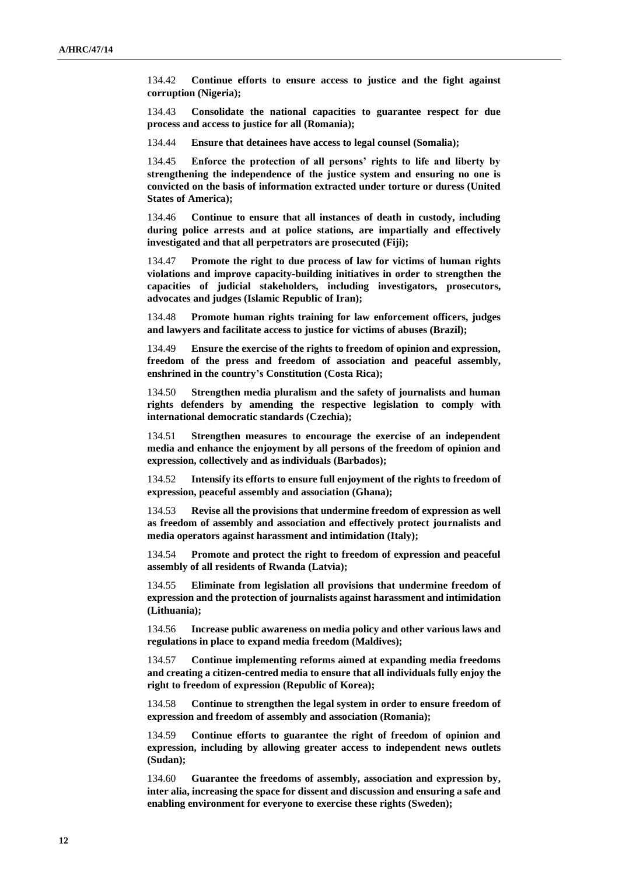134.42 **Continue efforts to ensure access to justice and the fight against corruption (Nigeria);**

134.43 **Consolidate the national capacities to guarantee respect for due process and access to justice for all (Romania);**

134.44 **Ensure that detainees have access to legal counsel (Somalia);**

134.45 **Enforce the protection of all persons' rights to life and liberty by strengthening the independence of the justice system and ensuring no one is convicted on the basis of information extracted under torture or duress (United States of America);**

134.46 **Continue to ensure that all instances of death in custody, including during police arrests and at police stations, are impartially and effectively investigated and that all perpetrators are prosecuted (Fiji);**

134.47 **Promote the right to due process of law for victims of human rights violations and improve capacity-building initiatives in order to strengthen the capacities of judicial stakeholders, including investigators, prosecutors, advocates and judges (Islamic Republic of Iran);**

134.48 **Promote human rights training for law enforcement officers, judges and lawyers and facilitate access to justice for victims of abuses (Brazil);**

134.49 **Ensure the exercise of the rights to freedom of opinion and expression, freedom of the press and freedom of association and peaceful assembly, enshrined in the country's Constitution (Costa Rica);**

134.50 **Strengthen media pluralism and the safety of journalists and human rights defenders by amending the respective legislation to comply with international democratic standards (Czechia);**

134.51 **Strengthen measures to encourage the exercise of an independent media and enhance the enjoyment by all persons of the freedom of opinion and expression, collectively and as individuals (Barbados);**

134.52 **Intensify its efforts to ensure full enjoyment of the rights to freedom of expression, peaceful assembly and association (Ghana);**

134.53 **Revise all the provisions that undermine freedom of expression as well as freedom of assembly and association and effectively protect journalists and media operators against harassment and intimidation (Italy);**

134.54 **Promote and protect the right to freedom of expression and peaceful assembly of all residents of Rwanda (Latvia);**

134.55 **Eliminate from legislation all provisions that undermine freedom of expression and the protection of journalists against harassment and intimidation (Lithuania);**

134.56 **Increase public awareness on media policy and other various laws and regulations in place to expand media freedom (Maldives);**

134.57 **Continue implementing reforms aimed at expanding media freedoms and creating a citizen-centred media to ensure that all individuals fully enjoy the right to freedom of expression (Republic of Korea);**

134.58 **Continue to strengthen the legal system in order to ensure freedom of expression and freedom of assembly and association (Romania);**

134.59 **Continue efforts to guarantee the right of freedom of opinion and expression, including by allowing greater access to independent news outlets (Sudan);**

134.60 **Guarantee the freedoms of assembly, association and expression by, inter alia, increasing the space for dissent and discussion and ensuring a safe and enabling environment for everyone to exercise these rights (Sweden);**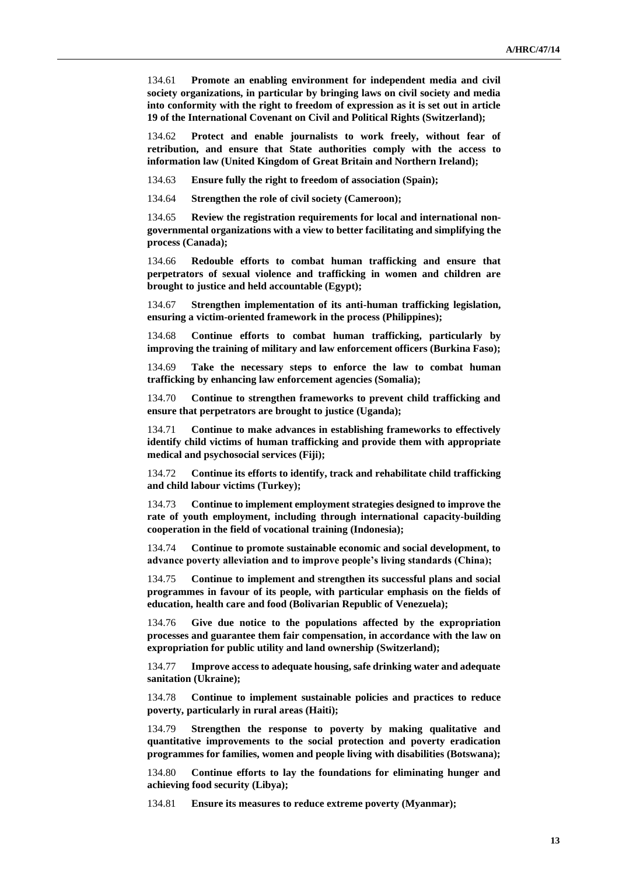134.61 **Promote an enabling environment for independent media and civil society organizations, in particular by bringing laws on civil society and media into conformity with the right to freedom of expression as it is set out in article 19 of the International Covenant on Civil and Political Rights (Switzerland);**

134.62 **Protect and enable journalists to work freely, without fear of retribution, and ensure that State authorities comply with the access to information law (United Kingdom of Great Britain and Northern Ireland);**

134.63 **Ensure fully the right to freedom of association (Spain);**

134.64 **Strengthen the role of civil society (Cameroon);**

134.65 **Review the registration requirements for local and international nongovernmental organizations with a view to better facilitating and simplifying the process (Canada);**

134.66 **Redouble efforts to combat human trafficking and ensure that perpetrators of sexual violence and trafficking in women and children are brought to justice and held accountable (Egypt);**

134.67 **Strengthen implementation of its anti-human trafficking legislation, ensuring a victim-oriented framework in the process (Philippines);**

134.68 **Continue efforts to combat human trafficking, particularly by improving the training of military and law enforcement officers (Burkina Faso);**

134.69 **Take the necessary steps to enforce the law to combat human trafficking by enhancing law enforcement agencies (Somalia);**

134.70 **Continue to strengthen frameworks to prevent child trafficking and ensure that perpetrators are brought to justice (Uganda);**

134.71 **Continue to make advances in establishing frameworks to effectively identify child victims of human trafficking and provide them with appropriate medical and psychosocial services (Fiji);**

134.72 **Continue its efforts to identify, track and rehabilitate child trafficking and child labour victims (Turkey);**

134.73 **Continue to implement employment strategies designed to improve the rate of youth employment, including through international capacity-building cooperation in the field of vocational training (Indonesia);**

134.74 **Continue to promote sustainable economic and social development, to advance poverty alleviation and to improve people's living standards (China);**

134.75 **Continue to implement and strengthen its successful plans and social programmes in favour of its people, with particular emphasis on the fields of education, health care and food (Bolivarian Republic of Venezuela);**

134.76 **Give due notice to the populations affected by the expropriation processes and guarantee them fair compensation, in accordance with the law on expropriation for public utility and land ownership (Switzerland);**

134.77 **Improve access to adequate housing, safe drinking water and adequate sanitation (Ukraine);**

134.78 **Continue to implement sustainable policies and practices to reduce poverty, particularly in rural areas (Haiti);**

134.79 **Strengthen the response to poverty by making qualitative and quantitative improvements to the social protection and poverty eradication programmes for families, women and people living with disabilities (Botswana);**

134.80 **Continue efforts to lay the foundations for eliminating hunger and achieving food security (Libya);**

134.81 **Ensure its measures to reduce extreme poverty (Myanmar);**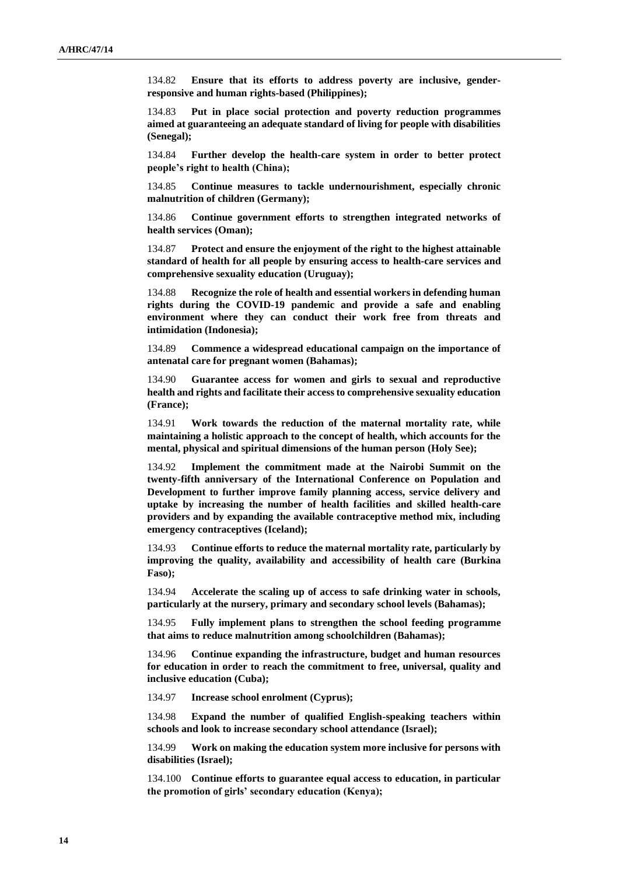134.82 **Ensure that its efforts to address poverty are inclusive, genderresponsive and human rights-based (Philippines);**

134.83 **Put in place social protection and poverty reduction programmes aimed at guaranteeing an adequate standard of living for people with disabilities (Senegal);**

134.84 **Further develop the health-care system in order to better protect people's right to health (China);**

134.85 **Continue measures to tackle undernourishment, especially chronic malnutrition of children (Germany);**

134.86 **Continue government efforts to strengthen integrated networks of health services (Oman);**

134.87 **Protect and ensure the enjoyment of the right to the highest attainable standard of health for all people by ensuring access to health-care services and comprehensive sexuality education (Uruguay);**

134.88 **Recognize the role of health and essential workers in defending human rights during the COVID-19 pandemic and provide a safe and enabling environment where they can conduct their work free from threats and intimidation (Indonesia);**

134.89 **Commence a widespread educational campaign on the importance of antenatal care for pregnant women (Bahamas);**

134.90 **Guarantee access for women and girls to sexual and reproductive health and rights and facilitate their access to comprehensive sexuality education (France);**

134.91 **Work towards the reduction of the maternal mortality rate, while maintaining a holistic approach to the concept of health, which accounts for the mental, physical and spiritual dimensions of the human person (Holy See);**

134.92 **Implement the commitment made at the Nairobi Summit on the twenty-fifth anniversary of the International Conference on Population and Development to further improve family planning access, service delivery and uptake by increasing the number of health facilities and skilled health-care providers and by expanding the available contraceptive method mix, including emergency contraceptives (Iceland);**

134.93 **Continue efforts to reduce the maternal mortality rate, particularly by improving the quality, availability and accessibility of health care (Burkina Faso);**

134.94 **Accelerate the scaling up of access to safe drinking water in schools, particularly at the nursery, primary and secondary school levels (Bahamas);**

134.95 **Fully implement plans to strengthen the school feeding programme that aims to reduce malnutrition among schoolchildren (Bahamas);**

134.96 **Continue expanding the infrastructure, budget and human resources for education in order to reach the commitment to free, universal, quality and inclusive education (Cuba);**

134.97 **Increase school enrolment (Cyprus);**

134.98 **Expand the number of qualified English-speaking teachers within schools and look to increase secondary school attendance (Israel);**

134.99 **Work on making the education system more inclusive for persons with disabilities (Israel);**

134.100 **Continue efforts to guarantee equal access to education, in particular the promotion of girls' secondary education (Kenya);**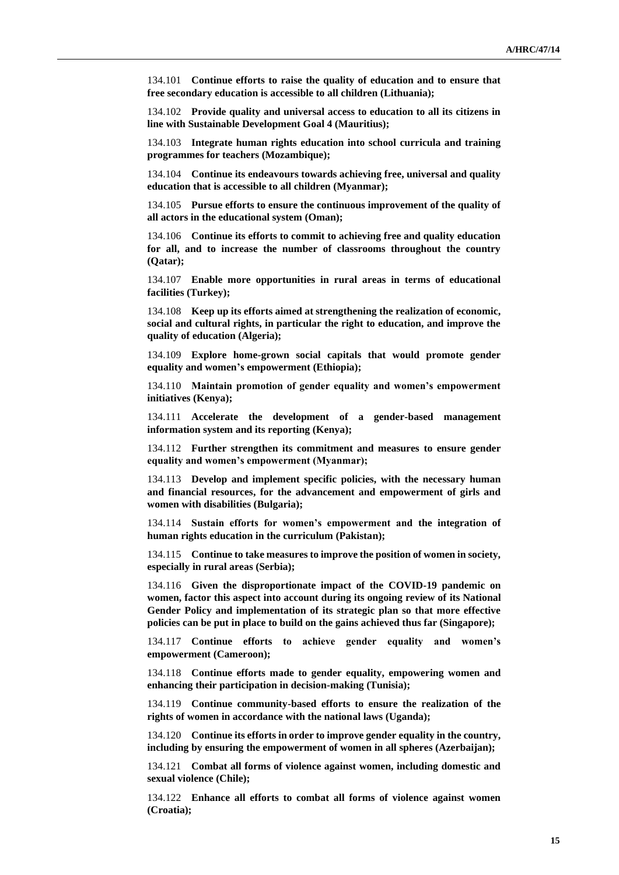134.101 **Continue efforts to raise the quality of education and to ensure that free secondary education is accessible to all children (Lithuania);**

134.102 **Provide quality and universal access to education to all its citizens in line with Sustainable Development Goal 4 (Mauritius);**

134.103 **Integrate human rights education into school curricula and training programmes for teachers (Mozambique);**

134.104 **Continue its endeavours towards achieving free, universal and quality education that is accessible to all children (Myanmar);**

134.105 **Pursue efforts to ensure the continuous improvement of the quality of all actors in the educational system (Oman);**

134.106 **Continue its efforts to commit to achieving free and quality education for all, and to increase the number of classrooms throughout the country (Qatar);**

134.107 **Enable more opportunities in rural areas in terms of educational facilities (Turkey);**

134.108 **Keep up its efforts aimed at strengthening the realization of economic, social and cultural rights, in particular the right to education, and improve the quality of education (Algeria);**

134.109 **Explore home-grown social capitals that would promote gender equality and women's empowerment (Ethiopia);**

134.110 **Maintain promotion of gender equality and women's empowerment initiatives (Kenya);**

134.111 **Accelerate the development of a gender-based management information system and its reporting (Kenya);**

134.112 **Further strengthen its commitment and measures to ensure gender equality and women's empowerment (Myanmar);**

134.113 **Develop and implement specific policies, with the necessary human and financial resources, for the advancement and empowerment of girls and women with disabilities (Bulgaria);**

134.114 **Sustain efforts for women's empowerment and the integration of human rights education in the curriculum (Pakistan);**

134.115 **Continue to take measures to improve the position of women in society, especially in rural areas (Serbia);**

134.116 **Given the disproportionate impact of the COVID-19 pandemic on women, factor this aspect into account during its ongoing review of its National Gender Policy and implementation of its strategic plan so that more effective policies can be put in place to build on the gains achieved thus far (Singapore);**

134.117 **Continue efforts to achieve gender equality and women's empowerment (Cameroon);**

134.118 **Continue efforts made to gender equality, empowering women and enhancing their participation in decision-making (Tunisia);**

134.119 **Continue community-based efforts to ensure the realization of the rights of women in accordance with the national laws (Uganda);**

134.120 **Continue its efforts in order to improve gender equality in the country, including by ensuring the empowerment of women in all spheres (Azerbaijan);**

134.121 **Combat all forms of violence against women, including domestic and sexual violence (Chile);**

134.122 **Enhance all efforts to combat all forms of violence against women (Croatia);**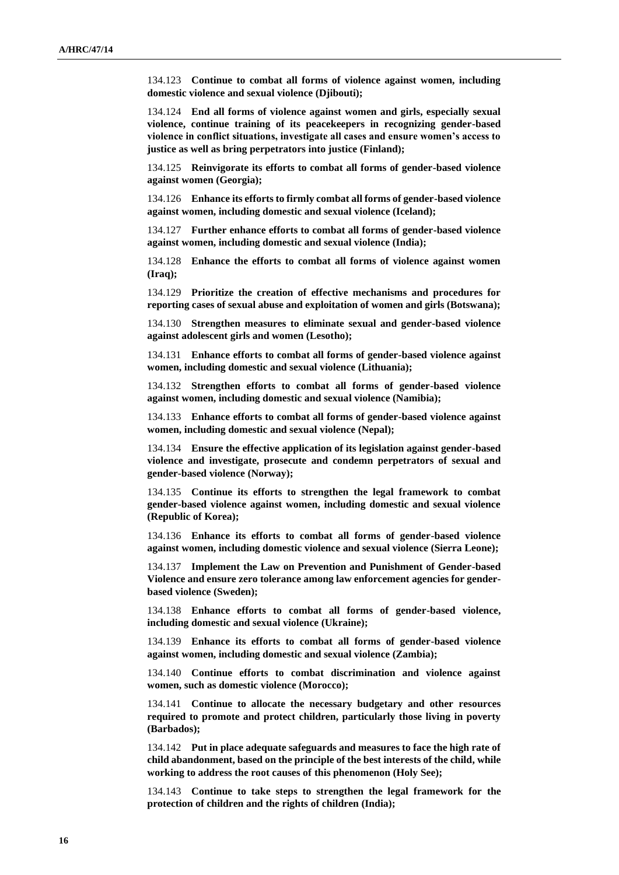134.123 **Continue to combat all forms of violence against women, including domestic violence and sexual violence (Djibouti);**

134.124 **End all forms of violence against women and girls, especially sexual violence, continue training of its peacekeepers in recognizing gender-based violence in conflict situations, investigate all cases and ensure women's access to justice as well as bring perpetrators into justice (Finland);**

134.125 **Reinvigorate its efforts to combat all forms of gender-based violence against women (Georgia);**

134.126 **Enhance its efforts to firmly combat all forms of gender-based violence against women, including domestic and sexual violence (Iceland);**

134.127 **Further enhance efforts to combat all forms of gender-based violence against women, including domestic and sexual violence (India);**

134.128 **Enhance the efforts to combat all forms of violence against women (Iraq);**

134.129 **Prioritize the creation of effective mechanisms and procedures for reporting cases of sexual abuse and exploitation of women and girls (Botswana);**

134.130 **Strengthen measures to eliminate sexual and gender-based violence against adolescent girls and women (Lesotho);**

134.131 **Enhance efforts to combat all forms of gender-based violence against women, including domestic and sexual violence (Lithuania);**

134.132 **Strengthen efforts to combat all forms of gender-based violence against women, including domestic and sexual violence (Namibia);**

134.133 **Enhance efforts to combat all forms of gender-based violence against women, including domestic and sexual violence (Nepal);**

134.134 **Ensure the effective application of its legislation against gender-based violence and investigate, prosecute and condemn perpetrators of sexual and gender-based violence (Norway);**

134.135 **Continue its efforts to strengthen the legal framework to combat gender-based violence against women, including domestic and sexual violence (Republic of Korea);**

134.136 **Enhance its efforts to combat all forms of gender-based violence against women, including domestic violence and sexual violence (Sierra Leone);**

134.137 **Implement the Law on Prevention and Punishment of Gender-based Violence and ensure zero tolerance among law enforcement agencies for genderbased violence (Sweden);**

134.138 **Enhance efforts to combat all forms of gender-based violence, including domestic and sexual violence (Ukraine);**

134.139 **Enhance its efforts to combat all forms of gender-based violence against women, including domestic and sexual violence (Zambia);**

134.140 **Continue efforts to combat discrimination and violence against women, such as domestic violence (Morocco);**

134.141 **Continue to allocate the necessary budgetary and other resources required to promote and protect children, particularly those living in poverty (Barbados);**

134.142 **Put in place adequate safeguards and measures to face the high rate of child abandonment, based on the principle of the best interests of the child, while working to address the root causes of this phenomenon (Holy See);**

134.143 **Continue to take steps to strengthen the legal framework for the protection of children and the rights of children (India);**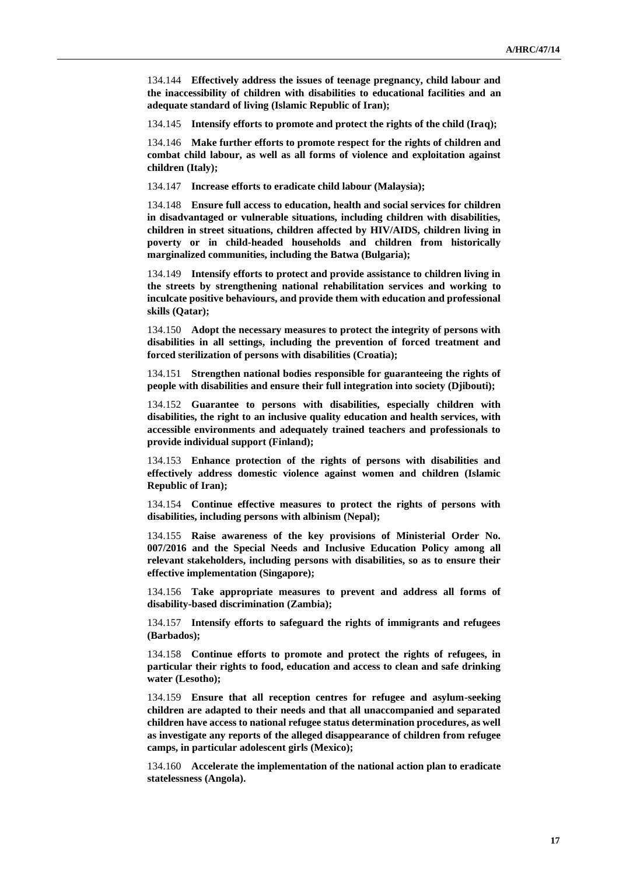134.144 **Effectively address the issues of teenage pregnancy, child labour and the inaccessibility of children with disabilities to educational facilities and an adequate standard of living (Islamic Republic of Iran);**

134.145 **Intensify efforts to promote and protect the rights of the child (Iraq);**

134.146 **Make further efforts to promote respect for the rights of children and combat child labour, as well as all forms of violence and exploitation against children (Italy);**

134.147 **Increase efforts to eradicate child labour (Malaysia);**

134.148 **Ensure full access to education, health and social services for children in disadvantaged or vulnerable situations, including children with disabilities, children in street situations, children affected by HIV/AIDS, children living in poverty or in child-headed households and children from historically marginalized communities, including the Batwa (Bulgaria);**

134.149 **Intensify efforts to protect and provide assistance to children living in the streets by strengthening national rehabilitation services and working to inculcate positive behaviours, and provide them with education and professional skills (Qatar);**

134.150 **Adopt the necessary measures to protect the integrity of persons with disabilities in all settings, including the prevention of forced treatment and forced sterilization of persons with disabilities (Croatia);**

134.151 **Strengthen national bodies responsible for guaranteeing the rights of people with disabilities and ensure their full integration into society (Djibouti);**

134.152 **Guarantee to persons with disabilities, especially children with disabilities, the right to an inclusive quality education and health services, with accessible environments and adequately trained teachers and professionals to provide individual support (Finland);**

134.153 **Enhance protection of the rights of persons with disabilities and effectively address domestic violence against women and children (Islamic Republic of Iran);**

134.154 **Continue effective measures to protect the rights of persons with disabilities, including persons with albinism (Nepal);**

134.155 **Raise awareness of the key provisions of Ministerial Order No. 007/2016 and the Special Needs and Inclusive Education Policy among all relevant stakeholders, including persons with disabilities, so as to ensure their effective implementation (Singapore);**

134.156 **Take appropriate measures to prevent and address all forms of disability-based discrimination (Zambia);**

134.157 **Intensify efforts to safeguard the rights of immigrants and refugees (Barbados);**

134.158 **Continue efforts to promote and protect the rights of refugees, in particular their rights to food, education and access to clean and safe drinking water (Lesotho);**

134.159 **Ensure that all reception centres for refugee and asylum-seeking children are adapted to their needs and that all unaccompanied and separated children have access to national refugee status determination procedures, as well as investigate any reports of the alleged disappearance of children from refugee camps, in particular adolescent girls (Mexico);**

134.160 **Accelerate the implementation of the national action plan to eradicate statelessness (Angola).**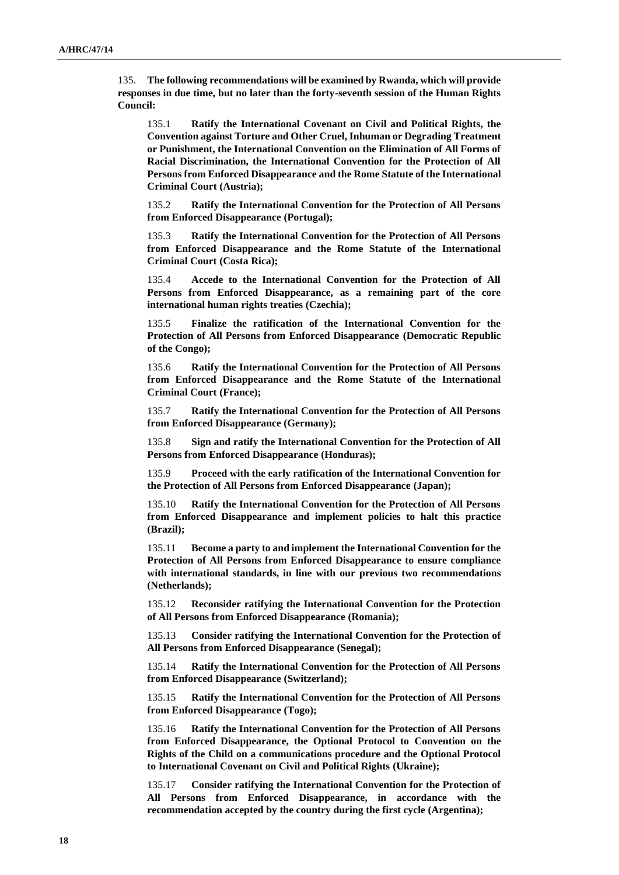135. **The following recommendations will be examined by Rwanda, which will provide responses in due time, but no later than the forty-seventh session of the Human Rights Council:**

135.1 **Ratify the International Covenant on Civil and Political Rights, the Convention against Torture and Other Cruel, Inhuman or Degrading Treatment or Punishment, the International Convention on the Elimination of All Forms of Racial Discrimination, the International Convention for the Protection of All Persons from Enforced Disappearance and the Rome Statute of the International Criminal Court (Austria);**

135.2 **Ratify the International Convention for the Protection of All Persons from Enforced Disappearance (Portugal);**

135.3 **Ratify the International Convention for the Protection of All Persons from Enforced Disappearance and the Rome Statute of the International Criminal Court (Costa Rica);**

135.4 **Accede to the International Convention for the Protection of All Persons from Enforced Disappearance, as a remaining part of the core international human rights treaties (Czechia);**

135.5 **Finalize the ratification of the International Convention for the Protection of All Persons from Enforced Disappearance (Democratic Republic of the Congo);**

135.6 **Ratify the International Convention for the Protection of All Persons from Enforced Disappearance and the Rome Statute of the International Criminal Court (France);**

135.7 **Ratify the International Convention for the Protection of All Persons from Enforced Disappearance (Germany);**

135.8 **Sign and ratify the International Convention for the Protection of All Persons from Enforced Disappearance (Honduras);**

135.9 **Proceed with the early ratification of the International Convention for the Protection of All Persons from Enforced Disappearance (Japan);**

135.10 **Ratify the International Convention for the Protection of All Persons from Enforced Disappearance and implement policies to halt this practice (Brazil);**

135.11 **Become a party to and implement the International Convention for the Protection of All Persons from Enforced Disappearance to ensure compliance with international standards, in line with our previous two recommendations (Netherlands);**

135.12 **Reconsider ratifying the International Convention for the Protection of All Persons from Enforced Disappearance (Romania);**

135.13 **Consider ratifying the International Convention for the Protection of All Persons from Enforced Disappearance (Senegal);**

135.14 **Ratify the International Convention for the Protection of All Persons from Enforced Disappearance (Switzerland);**

135.15 **Ratify the International Convention for the Protection of All Persons from Enforced Disappearance (Togo);**

135.16 **Ratify the International Convention for the Protection of All Persons from Enforced Disappearance, the Optional Protocol to Convention on the Rights of the Child on a communications procedure and the Optional Protocol to International Covenant on Civil and Political Rights (Ukraine);**

135.17 **Consider ratifying the International Convention for the Protection of All Persons from Enforced Disappearance, in accordance with the recommendation accepted by the country during the first cycle (Argentina);**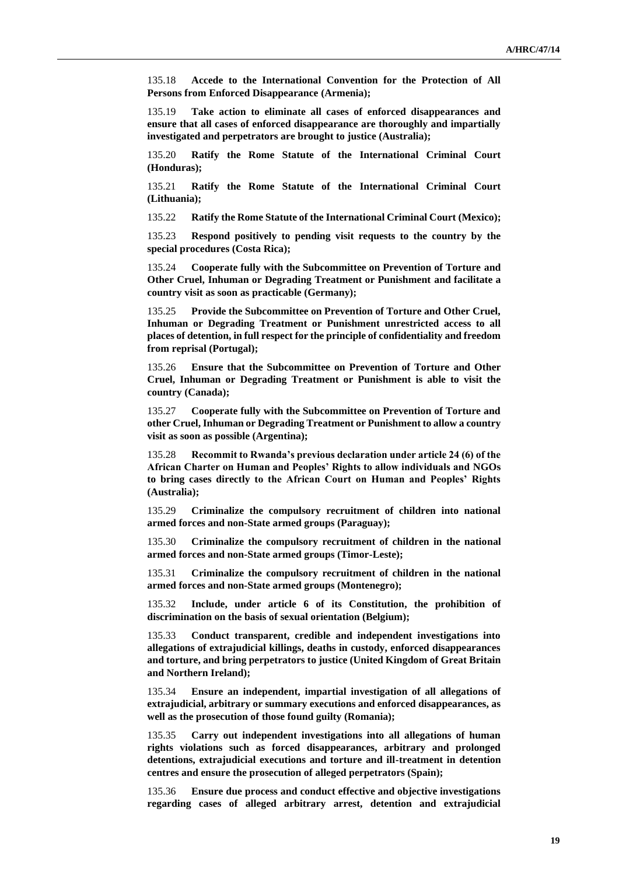135.18 **Accede to the International Convention for the Protection of All Persons from Enforced Disappearance (Armenia);**

135.19 **Take action to eliminate all cases of enforced disappearances and ensure that all cases of enforced disappearance are thoroughly and impartially investigated and perpetrators are brought to justice (Australia);**

135.20 **Ratify the Rome Statute of the International Criminal Court (Honduras);**

135.21 **Ratify the Rome Statute of the International Criminal Court (Lithuania);**

135.22 **Ratify the Rome Statute of the International Criminal Court (Mexico);**

135.23 **Respond positively to pending visit requests to the country by the special procedures (Costa Rica);**

135.24 **Cooperate fully with the Subcommittee on Prevention of Torture and Other Cruel, Inhuman or Degrading Treatment or Punishment and facilitate a country visit as soon as practicable (Germany);**

135.25 **Provide the Subcommittee on Prevention of Torture and Other Cruel, Inhuman or Degrading Treatment or Punishment unrestricted access to all places of detention, in full respect for the principle of confidentiality and freedom from reprisal (Portugal);**

135.26 **Ensure that the Subcommittee on Prevention of Torture and Other Cruel, Inhuman or Degrading Treatment or Punishment is able to visit the country (Canada);**

135.27 **Cooperate fully with the Subcommittee on Prevention of Torture and other Cruel, Inhuman or Degrading Treatment or Punishment to allow a country visit as soon as possible (Argentina);**

135.28 **Recommit to Rwanda's previous declaration under article 24 (6) of the African Charter on Human and Peoples' Rights to allow individuals and NGOs to bring cases directly to the African Court on Human and Peoples' Rights (Australia);**

135.29 **Criminalize the compulsory recruitment of children into national armed forces and non-State armed groups (Paraguay);**

135.30 **Criminalize the compulsory recruitment of children in the national armed forces and non-State armed groups (Timor-Leste);**

135.31 **Criminalize the compulsory recruitment of children in the national armed forces and non-State armed groups (Montenegro);**

135.32 **Include, under article 6 of its Constitution, the prohibition of discrimination on the basis of sexual orientation (Belgium);**

135.33 **Conduct transparent, credible and independent investigations into allegations of extrajudicial killings, deaths in custody, enforced disappearances and torture, and bring perpetrators to justice (United Kingdom of Great Britain and Northern Ireland);**

135.34 **Ensure an independent, impartial investigation of all allegations of extrajudicial, arbitrary or summary executions and enforced disappearances, as well as the prosecution of those found guilty (Romania);**

135.35 **Carry out independent investigations into all allegations of human rights violations such as forced disappearances, arbitrary and prolonged detentions, extrajudicial executions and torture and ill-treatment in detention centres and ensure the prosecution of alleged perpetrators (Spain);**

135.36 **Ensure due process and conduct effective and objective investigations regarding cases of alleged arbitrary arrest, detention and extrajudicial**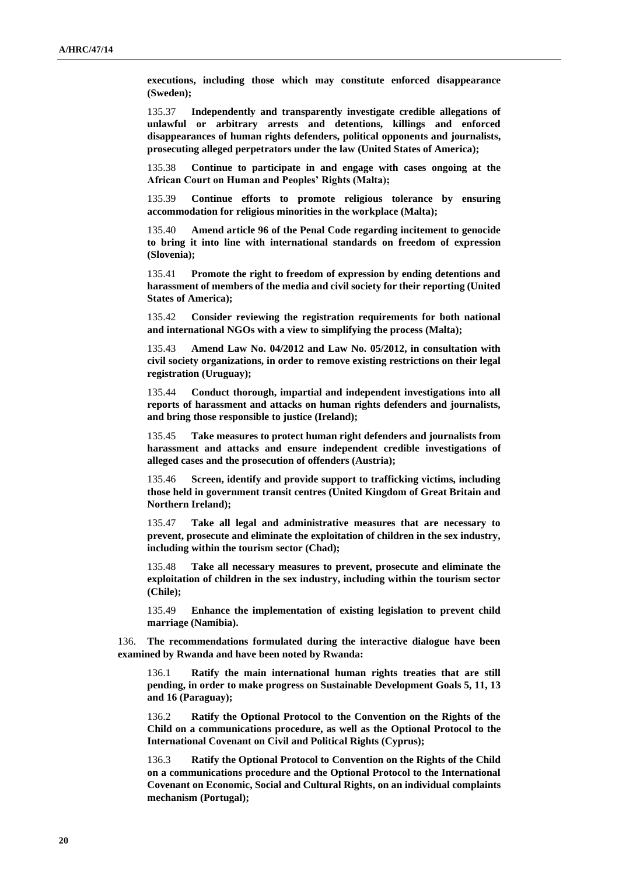**executions, including those which may constitute enforced disappearance (Sweden);**

135.37 **Independently and transparently investigate credible allegations of unlawful or arbitrary arrests and detentions, killings and enforced disappearances of human rights defenders, political opponents and journalists, prosecuting alleged perpetrators under the law (United States of America);**

135.38 **Continue to participate in and engage with cases ongoing at the African Court on Human and Peoples' Rights (Malta);**

135.39 **Continue efforts to promote religious tolerance by ensuring accommodation for religious minorities in the workplace (Malta);**

135.40 **Amend article 96 of the Penal Code regarding incitement to genocide to bring it into line with international standards on freedom of expression (Slovenia);**

135.41 **Promote the right to freedom of expression by ending detentions and harassment of members of the media and civil society for their reporting (United States of America);**

135.42 **Consider reviewing the registration requirements for both national and international NGOs with a view to simplifying the process (Malta);**

135.43 **Amend Law No. 04/2012 and Law No. 05/2012, in consultation with civil society organizations, in order to remove existing restrictions on their legal registration (Uruguay);**

135.44 **Conduct thorough, impartial and independent investigations into all reports of harassment and attacks on human rights defenders and journalists, and bring those responsible to justice (Ireland);**

135.45 **Take measures to protect human right defenders and journalists from harassment and attacks and ensure independent credible investigations of alleged cases and the prosecution of offenders (Austria);**

135.46 **Screen, identify and provide support to trafficking victims, including those held in government transit centres (United Kingdom of Great Britain and Northern Ireland);**

135.47 **Take all legal and administrative measures that are necessary to prevent, prosecute and eliminate the exploitation of children in the sex industry, including within the tourism sector (Chad);**

135.48 **Take all necessary measures to prevent, prosecute and eliminate the exploitation of children in the sex industry, including within the tourism sector (Chile);**

135.49 **Enhance the implementation of existing legislation to prevent child marriage (Namibia).**

136. **The recommendations formulated during the interactive dialogue have been examined by Rwanda and have been noted by Rwanda:**

136.1 **Ratify the main international human rights treaties that are still pending, in order to make progress on Sustainable Development Goals 5, 11, 13 and 16 (Paraguay);**

136.2 **Ratify the Optional Protocol to the Convention on the Rights of the Child on a communications procedure, as well as the Optional Protocol to the International Covenant on Civil and Political Rights (Cyprus);**

136.3 **Ratify the Optional Protocol to Convention on the Rights of the Child on a communications procedure and the Optional Protocol to the International Covenant on Economic, Social and Cultural Rights, on an individual complaints mechanism (Portugal);**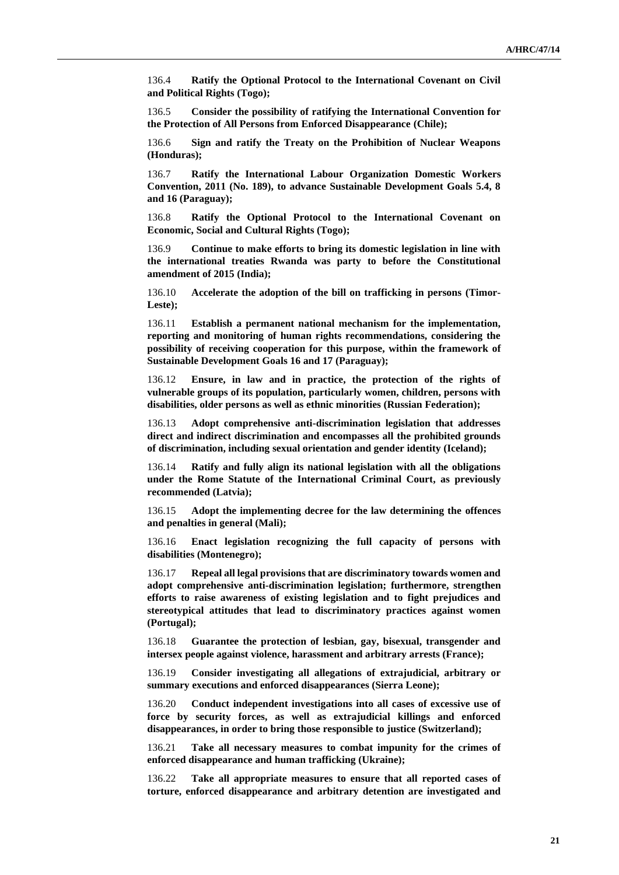136.4 **Ratify the Optional Protocol to the International Covenant on Civil and Political Rights (Togo);**

136.5 **Consider the possibility of ratifying the International Convention for the Protection of All Persons from Enforced Disappearance (Chile);**

136.6 **Sign and ratify the Treaty on the Prohibition of Nuclear Weapons (Honduras);**

136.7 **Ratify the International Labour Organization Domestic Workers Convention, 2011 (No. 189), to advance Sustainable Development Goals 5.4, 8 and 16 (Paraguay);**

136.8 **Ratify the Optional Protocol to the International Covenant on Economic, Social and Cultural Rights (Togo);**

136.9 **Continue to make efforts to bring its domestic legislation in line with the international treaties Rwanda was party to before the Constitutional amendment of 2015 (India);**

136.10 **Accelerate the adoption of the bill on trafficking in persons (Timor-Leste);**

136.11 **Establish a permanent national mechanism for the implementation, reporting and monitoring of human rights recommendations, considering the possibility of receiving cooperation for this purpose, within the framework of Sustainable Development Goals 16 and 17 (Paraguay);**

136.12 **Ensure, in law and in practice, the protection of the rights of vulnerable groups of its population, particularly women, children, persons with disabilities, older persons as well as ethnic minorities (Russian Federation);**

136.13 **Adopt comprehensive anti-discrimination legislation that addresses direct and indirect discrimination and encompasses all the prohibited grounds of discrimination, including sexual orientation and gender identity (Iceland);**

136.14 **Ratify and fully align its national legislation with all the obligations under the Rome Statute of the International Criminal Court, as previously recommended (Latvia);**

136.15 **Adopt the implementing decree for the law determining the offences and penalties in general (Mali);**

136.16 **Enact legislation recognizing the full capacity of persons with disabilities (Montenegro);**

136.17 **Repeal all legal provisions that are discriminatory towards women and adopt comprehensive anti-discrimination legislation; furthermore, strengthen efforts to raise awareness of existing legislation and to fight prejudices and stereotypical attitudes that lead to discriminatory practices against women (Portugal);**

136.18 **Guarantee the protection of lesbian, gay, bisexual, transgender and intersex people against violence, harassment and arbitrary arrests (France);**

136.19 **Consider investigating all allegations of extrajudicial, arbitrary or summary executions and enforced disappearances (Sierra Leone);**

136.20 **Conduct independent investigations into all cases of excessive use of force by security forces, as well as extrajudicial killings and enforced disappearances, in order to bring those responsible to justice (Switzerland);**

136.21 **Take all necessary measures to combat impunity for the crimes of enforced disappearance and human trafficking (Ukraine);**

136.22 **Take all appropriate measures to ensure that all reported cases of torture, enforced disappearance and arbitrary detention are investigated and**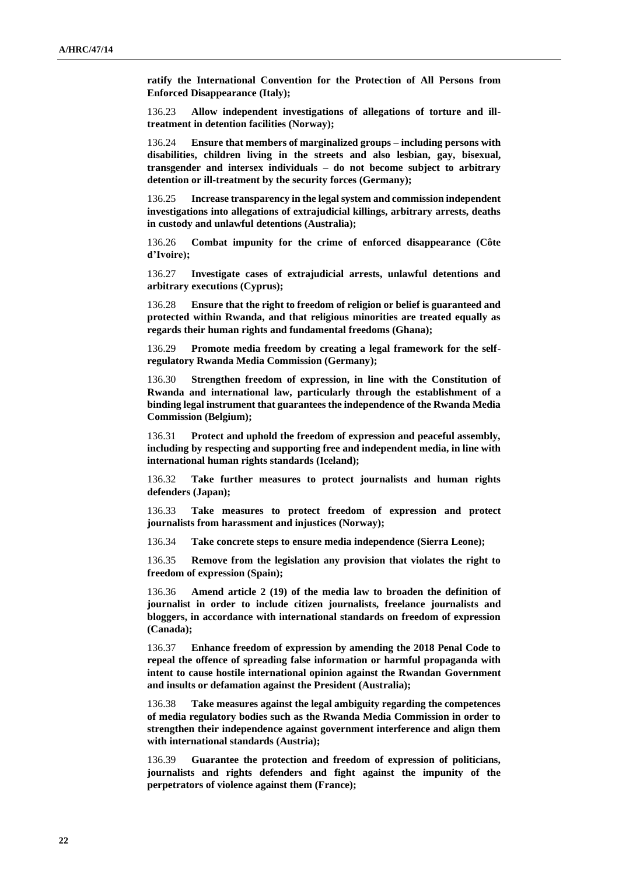**ratify the International Convention for the Protection of All Persons from Enforced Disappearance (Italy);**

136.23 **Allow independent investigations of allegations of torture and illtreatment in detention facilities (Norway);**

136.24 **Ensure that members of marginalized groups – including persons with disabilities, children living in the streets and also lesbian, gay, bisexual, transgender and intersex individuals – do not become subject to arbitrary detention or ill-treatment by the security forces (Germany);**

136.25 **Increase transparency in the legal system and commission independent investigations into allegations of extrajudicial killings, arbitrary arrests, deaths in custody and unlawful detentions (Australia);**

136.26 **Combat impunity for the crime of enforced disappearance (Côte d'Ivoire);**

136.27 **Investigate cases of extrajudicial arrests, unlawful detentions and arbitrary executions (Cyprus);**

136.28 **Ensure that the right to freedom of religion or belief is guaranteed and protected within Rwanda, and that religious minorities are treated equally as regards their human rights and fundamental freedoms (Ghana);**

136.29 **Promote media freedom by creating a legal framework for the selfregulatory Rwanda Media Commission (Germany);**

136.30 **Strengthen freedom of expression, in line with the Constitution of Rwanda and international law, particularly through the establishment of a binding legal instrument that guarantees the independence of the Rwanda Media Commission (Belgium);**

136.31 **Protect and uphold the freedom of expression and peaceful assembly, including by respecting and supporting free and independent media, in line with international human rights standards (Iceland);**

136.32 **Take further measures to protect journalists and human rights defenders (Japan);**

136.33 **Take measures to protect freedom of expression and protect journalists from harassment and injustices (Norway);**

136.34 **Take concrete steps to ensure media independence (Sierra Leone);**

136.35 **Remove from the legislation any provision that violates the right to freedom of expression (Spain);**

136.36 **Amend article 2 (19) of the media law to broaden the definition of journalist in order to include citizen journalists, freelance journalists and bloggers, in accordance with international standards on freedom of expression (Canada);**

136.37 **Enhance freedom of expression by amending the 2018 Penal Code to repeal the offence of spreading false information or harmful propaganda with intent to cause hostile international opinion against the Rwandan Government and insults or defamation against the President (Australia);**

136.38 **Take measures against the legal ambiguity regarding the competences of media regulatory bodies such as the Rwanda Media Commission in order to strengthen their independence against government interference and align them with international standards (Austria);**

136.39 **Guarantee the protection and freedom of expression of politicians, journalists and rights defenders and fight against the impunity of the perpetrators of violence against them (France);**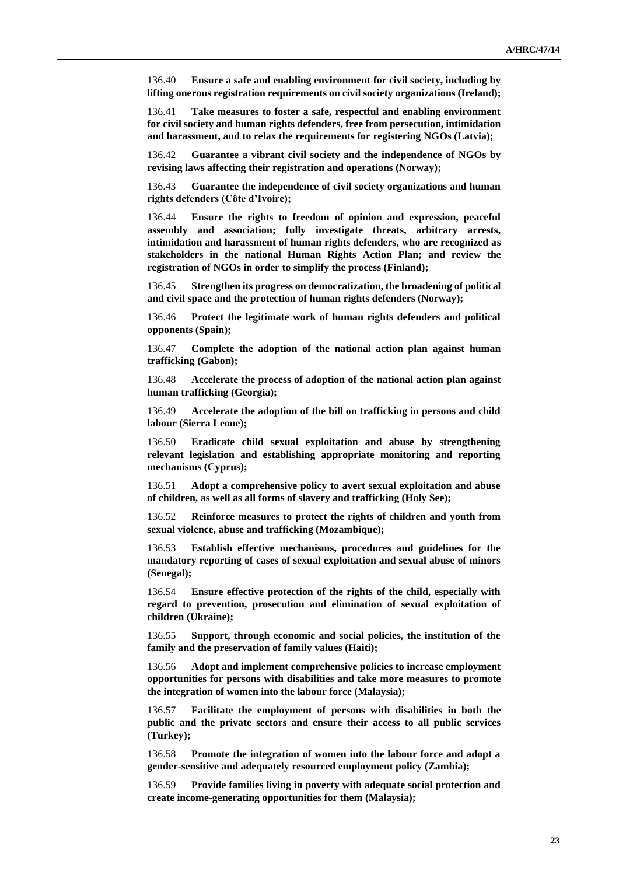136.40 **Ensure a safe and enabling environment for civil society, including by lifting onerous registration requirements on civil society organizations (Ireland);**

136.41 **Take measures to foster a safe, respectful and enabling environment for civil society and human rights defenders, free from persecution, intimidation and harassment, and to relax the requirements for registering NGOs (Latvia);**

136.42 **Guarantee a vibrant civil society and the independence of NGOs by revising laws affecting their registration and operations (Norway);**

136.43 **Guarantee the independence of civil society organizations and human rights defenders (Côte d'Ivoire);**

136.44 **Ensure the rights to freedom of opinion and expression, peaceful assembly and association; fully investigate threats, arbitrary arrests, intimidation and harassment of human rights defenders, who are recognized as stakeholders in the national Human Rights Action Plan; and review the registration of NGOs in order to simplify the process (Finland);**

136.45 **Strengthen its progress on democratization, the broadening of political and civil space and the protection of human rights defenders (Norway);**

136.46 **Protect the legitimate work of human rights defenders and political opponents (Spain);**

136.47 **Complete the adoption of the national action plan against human trafficking (Gabon);**

136.48 **Accelerate the process of adoption of the national action plan against human trafficking (Georgia);**

136.49 **Accelerate the adoption of the bill on trafficking in persons and child labour (Sierra Leone);**

136.50 **Eradicate child sexual exploitation and abuse by strengthening relevant legislation and establishing appropriate monitoring and reporting mechanisms (Cyprus);**

136.51 **Adopt a comprehensive policy to avert sexual exploitation and abuse of children, as well as all forms of slavery and trafficking (Holy See);**

136.52 **Reinforce measures to protect the rights of children and youth from sexual violence, abuse and trafficking (Mozambique);**

136.53 **Establish effective mechanisms, procedures and guidelines for the mandatory reporting of cases of sexual exploitation and sexual abuse of minors (Senegal);**

136.54 **Ensure effective protection of the rights of the child, especially with regard to prevention, prosecution and elimination of sexual exploitation of children (Ukraine);**

136.55 **Support, through economic and social policies, the institution of the family and the preservation of family values (Haiti);**

136.56 **Adopt and implement comprehensive policies to increase employment opportunities for persons with disabilities and take more measures to promote the integration of women into the labour force (Malaysia);**

136.57 **Facilitate the employment of persons with disabilities in both the public and the private sectors and ensure their access to all public services (Turkey);**

136.58 **Promote the integration of women into the labour force and adopt a gender-sensitive and adequately resourced employment policy (Zambia);**

136.59 **Provide families living in poverty with adequate social protection and create income-generating opportunities for them (Malaysia);**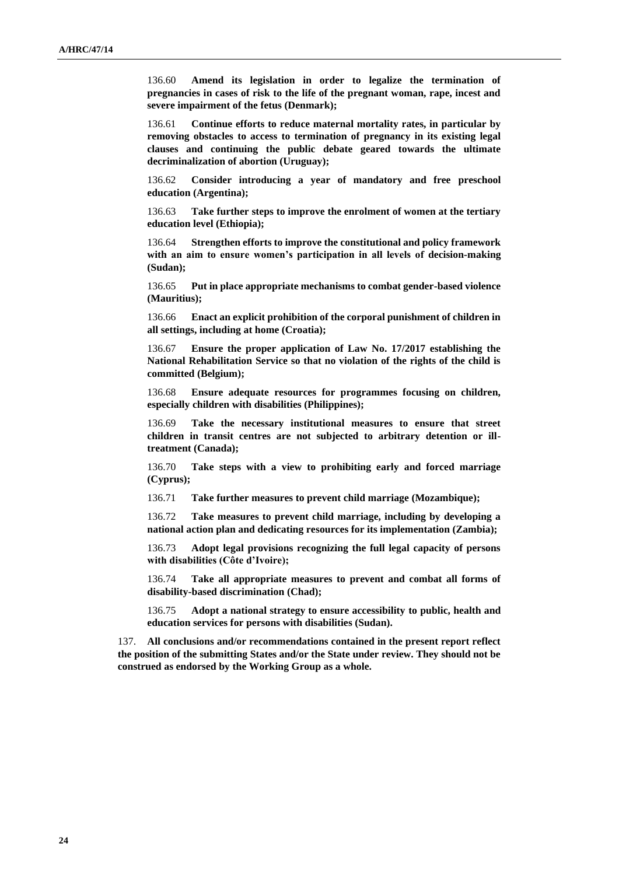136.60 **Amend its legislation in order to legalize the termination of pregnancies in cases of risk to the life of the pregnant woman, rape, incest and severe impairment of the fetus (Denmark);**

136.61 **Continue efforts to reduce maternal mortality rates, in particular by removing obstacles to access to termination of pregnancy in its existing legal clauses and continuing the public debate geared towards the ultimate decriminalization of abortion (Uruguay);**

136.62 **Consider introducing a year of mandatory and free preschool education (Argentina);**

136.63 **Take further steps to improve the enrolment of women at the tertiary education level (Ethiopia);**

136.64 **Strengthen efforts to improve the constitutional and policy framework with an aim to ensure women's participation in all levels of decision-making (Sudan);**

136.65 **Put in place appropriate mechanisms to combat gender-based violence (Mauritius);**

136.66 **Enact an explicit prohibition of the corporal punishment of children in all settings, including at home (Croatia);**

136.67 **Ensure the proper application of Law No. 17/2017 establishing the National Rehabilitation Service so that no violation of the rights of the child is committed (Belgium);**

136.68 **Ensure adequate resources for programmes focusing on children, especially children with disabilities (Philippines);**

136.69 **Take the necessary institutional measures to ensure that street children in transit centres are not subjected to arbitrary detention or illtreatment (Canada);**

136.70 **Take steps with a view to prohibiting early and forced marriage (Cyprus);**

136.71 **Take further measures to prevent child marriage (Mozambique);**

136.72 **Take measures to prevent child marriage, including by developing a national action plan and dedicating resources for its implementation (Zambia);**

136.73 **Adopt legal provisions recognizing the full legal capacity of persons with disabilities (Côte d'Ivoire);**

136.74 **Take all appropriate measures to prevent and combat all forms of disability-based discrimination (Chad);**

136.75 **Adopt a national strategy to ensure accessibility to public, health and education services for persons with disabilities (Sudan).**

137. **All conclusions and/or recommendations contained in the present report reflect the position of the submitting States and/or the State under review. They should not be construed as endorsed by the Working Group as a whole.**